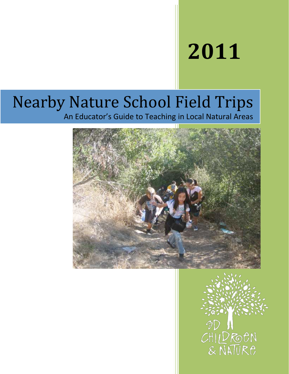# **2011**

## Nearby Nature School Field Trips

An Educator's Guide to Teaching in Local Natural Areas



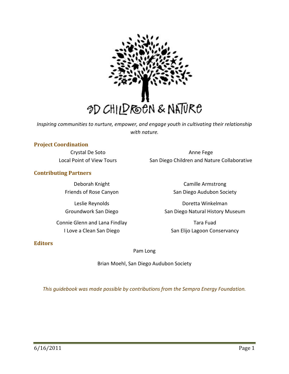

*Inspiring communities to nurture, empower, and engage youth in cultivating their relationship with nature.*

## **Project Coordination**

Crystal De Soto Local Point of View Tours

**Contributing Partners**

Deborah Knight Friends of Rose Canyon

Leslie Reynolds Groundwork San Diego

Connie Glenn and Lana Findlay I Love a Clean San Diego

Anne Fege San Diego Children and Nature Collaborative

> Camille Armstrong San Diego Audubon Society

Doretta Winkelman San Diego Natural History Museum

Tara Fuad San Elijo Lagoon Conservancy

## **Editors**

## Pam Long

Brian Moehl, San Diego Audubon Society

*This guidebook was made possible by contributions from the Sempra Energy Foundation.*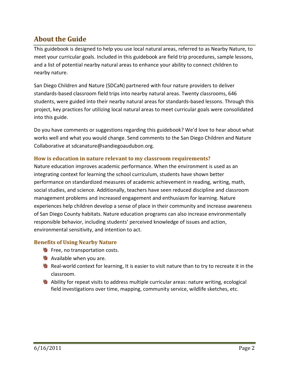## **About the Guide**

This guidebook is designed to help you use local natural areas, referred to as Nearby Nature, to meet your curricular goals. Included in this guidebook are field trip procedures, sample lessons, and a list of potential nearby natural areas to enhance your ability to connect children to nearby nature.

San Diego Children and Nature (SDCaN) partnered with four nature providers to deliver standards‐based classroom field trips into nearby natural areas. Twenty classrooms, 646 students, were guided into their nearby natural areas for standards‐based lessons. Through this project, key practices for utilizing local natural areas to meet curricular goals were consolidated into this guide.

Do you have comments or suggestions regarding this guidebook? We'd love to hear about what works well and what you would change. Send comments to the San Diego Children and Nature Collaborative at sdcanature@sandiegoaudubon.org.

## **How is education in nature relevant to my classroom requirements?**

Nature education improves academic performance. When the environment is used as an integrating context for learning the school curriculum, students have shown better performance on standardized measures of academic achievement in reading, writing, math, social studies, and science. Additionally, teachers have seen reduced discipline and classroom management problems and increased engagement and enthusiasm for learning. Nature experiences help children develop a sense of place in their community and increase awareness of San Diego County habitats. Nature education programs can also increase environmentally responsible behavior, including students' perceived knowledge of issues and action, environmental sensitivity, and intention to act.

## **Benefits of Using Nearby Nature**

- **9** Free, no transportation costs.
- **N** Available when you are.
- **9** Real-world context for learning, It is easier to visit nature than to try to recreate it in the classroom.
- **N** Ability for repeat visits to address multiple curricular areas: nature writing, ecological field investigations over time, mapping, community service, wildlife sketches, etc.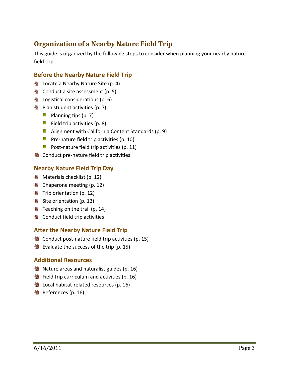## **Organization of a Nearby Nature Field Trip**

This guide is organized by the following steps to consider when planning your nearby nature field trip.

## **Before the Nearby Nature Field Trip**

- **Notate a Nearby Nature Site (p. 4)**
- **N** Conduct a site assessment (p. 5)
- **图 Logistical considerations (p. 6)**
- **N** Plan student activities (p. 7)
	- **Planning tips**  $(p. 7)$
	- Field trip activities  $(p. 8)$
	- **Alignment with California Content Standards (p. 9)**
	- **Pre-nature field trip activities (p. 10)**
	- **Post-nature field trip activities (p. 11)**
- **塾** Conduct pre-nature field trip activities

## **Nearby Nature Field Trip Day**

- **Materials checklist (p. 12)**
- **垫** Chaperone meeting (p. 12)
- **3** Trip orientation (p. 12)
- **No** Site orientation (p. 13)
- **图 Teaching on the trail (p. 14)**
- **N** Conduct field trip activities

## **After the Nearby Nature Field Trip**

- **垫** Conduct post-nature field trip activities (p. 15)
- $\frac{36}{2}$  Evaluate the success of the trip (p. 15)

## **Additional Resources**

- **Nature areas and naturalist guides (p. 16)**
- **W** Field trip curriculum and activities (p. 16)
- **N** Local habitat-related resources (p. 16)
- **塾** References (p. 16)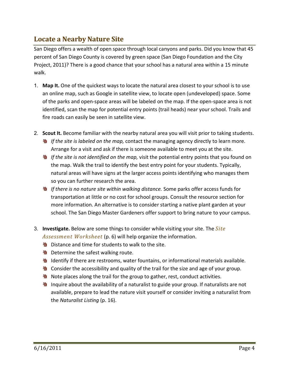## **Locate a Nearby Nature Site**

San Diego offers a wealth of open space through local canyons and parks. Did you know that 45 percent of San Diego County is covered by green space (San Diego Foundation and the City Project, 2011)? There is a good chance that your school has a natural area within a 15 minute walk.

- 1. **Map It.** One of the quickest ways to locate the natural area closest to your school is to use an online map, such as Google in satellite view, to locate open (undeveloped) space. Some of the parks and open‐space areas will be labeled on the map. If the open‐space area is not identified, scan the map for potential entry points (trail heads) near your school. Trails and fire roads can easily be seen in satellite view.
- 2. **Scout It.** Become familiar with the nearby natural area you will visit prior to taking students.
	- **If the site is labeled on the map, contact the managing agency directly to learn more.** Arrange for a visit and ask if there is someone available to meet you at the site.
	- **If the site is not identified on the map, visit the potential entry points that you found on** the map. Walk the trail to identify the best entry point for your students. Typically, natural areas will have signs at the larger access points identifying who manages them so you can further research the area.
	- **N** If there is no nature site within walking distance. Some parks offer access funds for transportation at little or no cost for school groups. Consult the resource section for more information. An alternative is to consider starting a native plant garden at your school. The San Diego Master Gardeners offer support to bring nature to your campus.
- 3. **Investigate.** Below are some things to consider while visiting your site. The *Site Assessment Worksheet* (p. 6) will help organize the information.
	- **S** Distance and time for students to walk to the site.
	- **N** Determine the safest walking route.
	- Identify if there are restrooms, water fountains, or informational materials available.
	- Consider the accessibility and quality of the trail for the size and age of your group.
	- **Note places along the trail for the group to gather, rest, conduct activities.**
	- **N** Inquire about the availability of a naturalist to guide your group. If naturalists are not available, prepare to lead the nature visit yourself or consider inviting a naturalist from the *Naturalist Listing* (p. 16).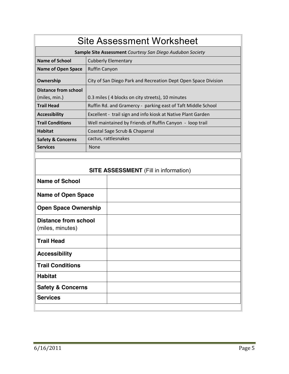| <b>Site Assessment Worksheet</b>                                                                                                                          |                                                                |  |  |  |  |
|-----------------------------------------------------------------------------------------------------------------------------------------------------------|----------------------------------------------------------------|--|--|--|--|
| Sample Site Assessment Courtesy San Diego Audubon Society                                                                                                 |                                                                |  |  |  |  |
| <b>Name of School</b>                                                                                                                                     | <b>Cubberly Elementary</b>                                     |  |  |  |  |
| <b>Name of Open Space</b>                                                                                                                                 | <b>Ruffin Canyon</b>                                           |  |  |  |  |
| Ownership                                                                                                                                                 | City of San Diego Park and Recreation Dept Open Space Division |  |  |  |  |
| <b>Distance from school</b>                                                                                                                               |                                                                |  |  |  |  |
| (miles, min.)                                                                                                                                             | 0.3 miles (4 blocks on city streets), 10 minutes               |  |  |  |  |
| <b>Trail Head</b>                                                                                                                                         | Ruffin Rd. and Gramercy - parking east of Taft Middle School   |  |  |  |  |
| <b>Accessibility</b>                                                                                                                                      | Excellent - trail sign and info kiosk at Native Plant Garden   |  |  |  |  |
| <b>Trail Conditions</b>                                                                                                                                   | Well maintained by Friends of Ruffin Canyon - loop trail       |  |  |  |  |
| <b>Habitat</b>                                                                                                                                            | Coastal Sage Scrub & Chaparral                                 |  |  |  |  |
| <b>Safety &amp; Concerns</b>                                                                                                                              | cactus, rattlesnakes                                           |  |  |  |  |
| <b>Services</b>                                                                                                                                           | None                                                           |  |  |  |  |
| <b>Name of School</b><br><b>Name of Open Space</b><br><b>Open Space Ownership</b><br><b>Distance from school</b><br>(miles, minutes)<br><b>Trail Head</b> | <b>SITE ASSESSMENT</b> (Fill in information)                   |  |  |  |  |
| <b>Accessibility</b>                                                                                                                                      |                                                                |  |  |  |  |
| <b>Trail Conditions</b>                                                                                                                                   |                                                                |  |  |  |  |
| <b>Habitat</b>                                                                                                                                            |                                                                |  |  |  |  |
| <b>Safety &amp; Concerns</b>                                                                                                                              |                                                                |  |  |  |  |
| <b>Services</b>                                                                                                                                           |                                                                |  |  |  |  |
|                                                                                                                                                           |                                                                |  |  |  |  |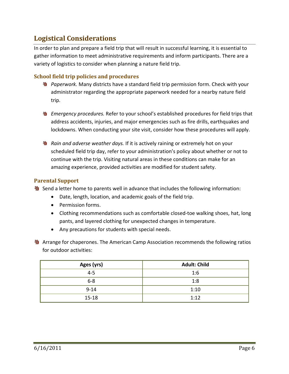## **Logistical Considerations**

In order to plan and prepare a field trip that will result in successful learning, it is essential to gather information to meet administrative requirements and inform participants. There are a variety of logistics to consider when planning a nature field trip.

## **School field trip policies and procedures**

- *Paperwork.* Many districts have a standard field trip permission form. Check with your administrator regarding the appropriate paperwork needed for a nearby nature field trip.
- **M** *Emergency procedures.* Refer to your school's established procedures for field trips that address accidents, injuries, and major emergencies such as fire drills, earthquakes and lockdowns. When conducting your site visit, consider how these procedures will apply.
- *Rain and adverse weather days.* If it is actively raining or extremely hot on your scheduled field trip day, refer to your administration's policy about whether or not to continue with the trip. Visiting natural areas in these conditions can make for an amazing experience, provided activities are modified for student safety.

## **Parental Support**

**N** Send a letter home to parents well in advance that includes the following information:

- Date, length, location, and academic goals of the field trip.
- Permission forms.
- Clothing recommendations such as comfortable closed-toe walking shoes, hat, long pants, and layered clothing for unexpected changes in temperature.
- Any precautions for students with special needs.

**Arrange for chaperones. The American Camp Association recommends the following ratios** for outdoor activities:

| Ages (yrs) | <b>Adult: Child</b> |  |
|------------|---------------------|--|
| $4 - 5$    | 1:6                 |  |
| $6 - 8$    | 1:8                 |  |
| $9 - 14$   | 1:10                |  |
| $15 - 18$  | 1:12                |  |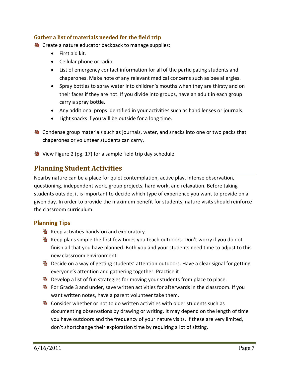## **Gather a list of materials needed for the field trip**

**W** Create a nature educator backpack to manage supplies:

- First aid kit.
- Cellular phone or radio.
- List of emergency contact information for all of the participating students and chaperones. Make note of any relevant medical concerns such as bee allergies.
- Spray bottles to spray water into children's mouths when they are thirsty and on their faces if they are hot. If you divide into groups, have an adult in each group carry a spray bottle.
- Any additional props identified in your activities such as hand lenses or journals.
- Light snacks if you will be outside for a long time.
- **W** Condense group materials such as journals, water, and snacks into one or two packs that chaperones or volunteer students can carry.
- View Figure 2 (pg. 17) for a sample field trip day schedule.

## **Planning Student Activities**

Nearby nature can be a place for quiet contemplation, active play, intense observation, questioning, independent work, group projects, hard work, and relaxation. Before taking students outside, it is important to decide which type of experience you want to provide on a given day. In order to provide the maximum benefit for students, nature visits should reinforce the classroom curriculum.

## **Planning Tips**

- **垫** Keep activities hands-on and exploratory.
- **N** Keep plans simple the first few times you teach outdoors. Don't worry if you do not finish all that you have planned. Both you and your students need time to adjust to this new classroom environment.
- Decide on a way of getting students' attention outdoors. Have a clear signal for getting everyone's attention and gathering together. Practice it!
- **N** Develop a list of fun strategies for moving your students from place to place.
- **9** For Grade 3 and under, save written activities for afterwards in the classroom. If you want written notes, have a parent volunteer take them.
- **N** Consider whether or not to do written activities with older students such as documenting observations by drawing or writing. It may depend on the length of time you have outdoors and the frequency of your nature visits. If these are very limited, don't shortchange their exploration time by requiring a lot of sitting.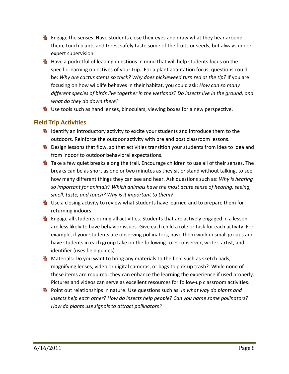- **U** Engage the senses. Have students close their eyes and draw what they hear around them; touch plants and trees; safely taste some of the fruits or seeds, but always under expert supervision.
- **N** Have a pocketful of leading questions in mind that will help students focus on the specific learning objectives of your trip. For a plant adaptation focus, questions could be: *Why are cactus stems so thick? Why does pickleweed turn red at the tip?* If you are focusing on how wildlife behaves in their habitat, you could ask: *How can so many different species of birds live together in the wetlands? Do insects live in the ground, and what do they do down there?*
- **W** Use tools such as hand lenses, binoculars, viewing boxes for a new perspective.

## **Field Trip Activities**

- **N** Identify an introductory activity to excite your students and introduce them to the outdoors. Reinforce the outdoor activity with pre and post classroom lessons.
- **9** Design lessons that flow, so that activities transition your students from idea to idea and from indoor to outdoor behavioral expectations.
- **N** Take a few quiet breaks along the trail. Encourage children to use all of their senses. The breaks can be as short as one or two minutes as they sit or stand without talking, to see how many different things they can see and hear. Ask questions such as: *Why is hearing so important for animals? Which animals have the most acute sense of hearing, seeing, smell, taste, and touch? Why is it important to them?*
- **も** Use a closing activity to review what students have learned and to prepare them for returning indoors.
- **N** Engage all students during all activities. Students that are actively engaged in a lesson are less likely to have behavior issues. Give each child a role or task for each activity. For example, if your students are observing pollinators, have them work in small groups and have students in each group take on the following roles: observer, writer, artist, and identifier (uses field guides).
- **N** Materials: Do you want to bring any materials to the field such as sketch pads, magnifying lenses, video or digital cameras, or bags to pick up trash? While none of these items are required, they can enhance the learning the experience if used properly. Pictures and videos can serve as excellent resources for follow‐up classroom activities.
- **N** Point out relationships in nature. Use questions such as: *In what way do plants and insects help each other? How do insects help people? Can you name some pollinators? How do plants use signals to attract pollinators?*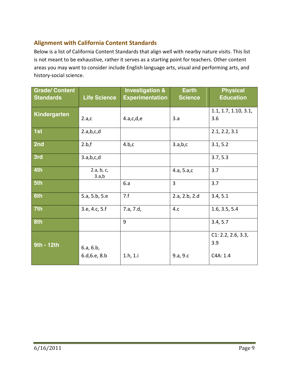## **Alignment with California Content Standards**

Below is a list of California Content Standards that align well with nearby nature visits. This list is not meant to be exhaustive, rather it serves as a starting point for teachers. Other content areas you may want to consider include English language arts, visual and performing arts, and history‐social science.

| <b>Grade/ Content</b><br><b>Standards</b> | <b>Life Science</b>        | <b>Investigation &amp;</b><br><b>Experimentation</b> | <b>Earth</b><br><b>Science</b> | <b>Physical</b><br><b>Education</b>   |
|-------------------------------------------|----------------------------|------------------------------------------------------|--------------------------------|---------------------------------------|
| Kindergarten                              | 2.a,c                      | 4.a,c,d,e                                            | 3.a                            | 1.1, 1.7, 1.10, 3.1,<br>3.6           |
| 1st                                       | 2.a,b,c,d                  |                                                      |                                | 2.1, 2.2, 3.1                         |
| 2nd                                       | 2.b.f                      | 4.b.c                                                | 3.a,b,c                        | 3.1, 5.2                              |
| 3rd                                       | 3.a,b,c,d                  |                                                      |                                | 3.7, 5.3                              |
| 4th                                       | 2.a, b, c,<br>3.a,b        |                                                      | 4.a, 5.a,c                     | 3.7                                   |
| 5th                                       |                            | 6.a                                                  | 3                              | 3.7                                   |
| 6th                                       | 5.a, 5.b, 5.e              | 7.f                                                  | 2.a, 2.b, 2.d                  | 3.4, 5.1                              |
| 7th                                       | 3.e, 4.c, 5.f              | 7.a, 7.d,                                            | 4.c                            | 1.6, 3.5, 5.4                         |
| 8th                                       |                            | 9                                                    |                                | 3.4, 5.7                              |
| 9th - 12th                                | 6.a, 6.b,<br>6.d, 6.e, 8.b | 1.h, 1.i                                             | 9.a, 9.c                       | C1: 2.2, 2.6, 3.3,<br>3.9<br>C4A: 1.4 |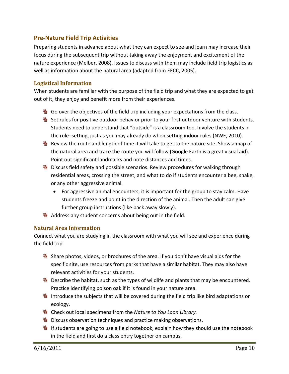## **Pre‐Nature Field Trip Activities**

Preparing students in advance about what they can expect to see and learn may increase their focus during the subsequent trip without taking away the enjoyment and excitement of the nature experience (Melber, 2008). Issues to discuss with them may include field trip logistics as well as information about the natural area (adapted from EECC, 2005).

## **Logistical Information**

When students are familiar with the purpose of the field trip and what they are expected to get out of it, they enjoy and benefit more from their experiences.

- **N** Go over the objectives of the field trip including your expectations from the class.
- **Notable Set rules for positive outdoor behavior prior to your first outdoor venture with students.** Students need to understand that "outside" is a classroom too. Involve the students in the rule–setting, just as you may already do when setting indoor rules (NWF, 2010).
- Review the route and length of time it will take to get to the nature site. Show a map of the natural area and trace the route you will follow (Google Earth is a great visual aid). Point out significant landmarks and note distances and times.
- **N** Discuss field safety and possible scenarios. Review procedures for walking through residential areas, crossing the street, and what to do if students encounter a bee, snake, or any other aggressive animal.
	- For aggressive animal encounters, it is important for the group to stay calm. Have students freeze and point in the direction of the animal. Then the adult can give further group instructions (like back away slowly).
- Address any student concerns about being out in the field.

## **Natural Area Information**

Connect what you are studying in the classroom with what you will see and experience during the field trip.

- **N** Share photos, videos, or brochures of the area. If you don't have visual aids for the specific site, use resources from parks that have a similar habitat. They may also have relevant activities for your students.
- **B** Describe the habitat, such as the types of wildlife and plants that may be encountered. Practice identifying poison oak if it is found in your nature area.
- **N** Introduce the subjects that will be covered during the field trip like bird adaptations or ecology.
- Check out local specimens from the *Nature to You Loan Library.*
- **D** Discuss observation techniques and practice making observations.
- **N** If students are going to use a field notebook, explain how they should use the notebook in the field and first do a class entry together on campus.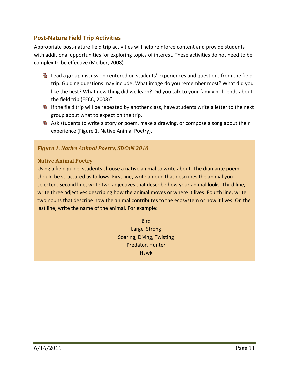## **Post‐Nature Field Trip Activities**

Appropriate post‐nature field trip activities will help reinforce content and provide students with additional opportunities for exploring topics of interest. These activities do not need to be complex to be effective (Melber, 2008).

- Lead a group discussion centered on students' experiences and questions from the field trip. Guiding questions may include: What image do you remember most? What did you like the best? What new thing did we learn? Did you talk to your family or friends about the field trip (EECC, 2008)?
- If the field trip will be repeated by another class, have students write a letter to the next group about what to expect on the trip.
- **N** Ask students to write a story or poem, make a drawing, or compose a song about their experience (Figure 1. Native Animal Poetry).

## *Figure 1. Native Animal Poetry, SDCaN 2010*

## **Native Animal Poetry**

Using a field guide, students choose a native animal to write about. The diamante poem should be structured as follows: First line, write a noun that describes the animal you selected. Second line, write two adjectives that describe how your animal looks. Third line, write three adjectives describing how the animal moves or where it lives. Fourth line, write two nouns that describe how the animal contributes to the ecosystem or how it lives. On the last line, write the name of the animal. For example:

> **Bird** Large, Strong Soaring, Diving, Twisting Predator, Hunter Hawk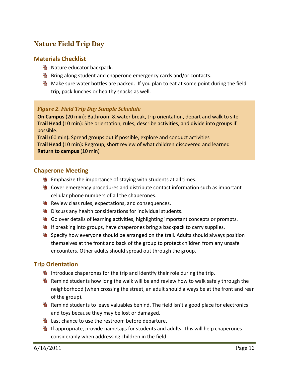## **Nature Field Trip Day**

## **Materials Checklist**

- **Nature educator backpack.**
- **Bring along student and chaperone emergency cards and/or contacts.**
- **Make sure water bottles are packed. If you plan to eat at some point during the field** trip, pack lunches or healthy snacks as well.

## *Figure 2. Field Trip Day Sample Schedule*

**On Campus** (20 min): Bathroom & water break, trip orientation, depart and walk to site **Trail Head** (10 min): Site orientation, rules, describe activities, and divide into groups if possible.

**Trail** (60 min)**:** Spread groups out if possible, explore and conduct activities **Trail Head** (10 min)**:** Regroup, short review of what children discovered and learned **Return to campus** (10 min)

## **Chaperone Meeting**

- **W** Emphasize the importance of staying with students at all times.
- **N** Cover emergency procedures and distribute contact information such as important cellular phone numbers of all the chaperones.
- **W** Review class rules, expectations, and consequences.
- **B** Discuss any health considerations for individual students.
- **Go over details of learning activities, highlighting important concepts or prompts.**
- **If breaking into groups, have chaperones bring a backpack to carry supplies.**
- Specify how everyone should be arranged on the trail. Adults should always position themselves at the front and back of the group to protect children from any unsafe encounters. Other adults should spread out through the group.

## **Trip Orientation**

- Introduce chaperones for the trip and identify their role during the trip.
- **N** Remind students how long the walk will be and review how to walk safely through the neighborhood (when crossing the street, an adult should always be at the front and rear of the group).
- Remind students to leave valuables behind. The field isn't a good place for electronics and toys because they may be lost or damaged.
- **W** Last chance to use the restroom before departure.
- **Notable 15 appropriate, provide nametags for students and adults. This will help chaperones** considerably when addressing children in the field.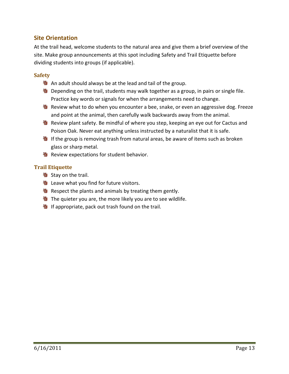## **Site Orientation**

At the trail head, welcome students to the natural area and give them a brief overview of the site. Make group announcements at this spot including Safety and Trail Etiquette before dividing students into groups (if applicable).

## **Safety**

- An adult should always be at the lead and tail of the group.
- **Depending on the trail, students may walk together as a group, in pairs or single file.** Practice key words or signals for when the arrangements need to change.
- **N** Review what to do when you encounter a bee, snake, or even an aggressive dog. Freeze and point at the animal, then carefully walk backwards away from the animal.
- **W** Review plant safety. Be mindful of where you step, keeping an eye out for Cactus and Poison Oak. Never eat anything unless instructed by a naturalist that it is safe.
- If the group is removing trash from natural areas, be aware of items such as broken glass or sharp metal.
- **&** Review expectations for student behavior.

## **Trail Etiquette**

- **も Stay on the trail.**
- **N** Leave what you find for future visitors.
- Respect the plants and animals by treating them gently.
- **V** The quieter you are, the more likely you are to see wildlife.
- **N** If appropriate, pack out trash found on the trail.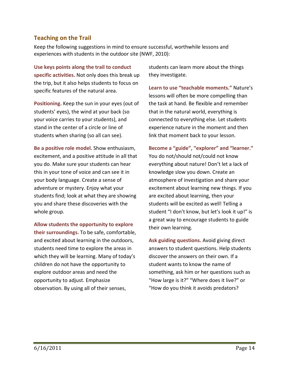## **Teaching on the Trail**

Keep the following suggestions in mind to ensure successful, worthwhile lessons and experiences with students in the outdoor site (NWF, 2010):

**Use keys points along the trail to conduct specific activities.** Not only does this break up the trip, but it also helps students to focus on specific features of the natural area.

**Positioning.** Keep the sun in your eyes (out of students' eyes), the wind at your back (so your voice carries to your students), and stand in the center of a circle or line of students when sharing (so all can see).

**Be a positive role model.** Show enthusiasm, excitement, and a positive attitude in all that you do. Make sure your students can hear this in your tone of voice and can see it in your body language. Create a sense of adventure or mystery. Enjoy what your students find; look at what they are showing you and share these discoveries with the whole group.

**Allow students the opportunity to explore their surroundings.** To be safe, comfortable, and excited about learning in the outdoors, students need time to explore the areas in which they will be learning. Many of today's children do not have the opportunity to explore outdoor areas and need the opportunity to adjust. Emphasize observation. By using all of their senses,

students can learn more about the things they investigate.

**Learn to use "teachable moments."** Nature's lessons will often be more compelling than the task at hand. Be flexible and remember that in the natural world, everything is connected to everything else. Let students experience nature in the moment and then link that moment back to your lesson.

**Become a "guide", "explorer" and "learner."** You do not/should not/could not know everything about nature! Don't let a lack of knowledge slow you down. Create an atmosphere of investigation and share your excitement about learning new things. If you are excited about learning, then your students will be excited as well! Telling a student "I don't know, but let's look it up!" is a great way to encourage students to guide their own learning.

**Ask guiding questions.** Avoid giving direct answers to student questions. Help students discover the answers on their own. If a student wants to know the name of something, ask him or her questions such as "How large is it?" "Where does it live?" or "How do you think it avoids predators?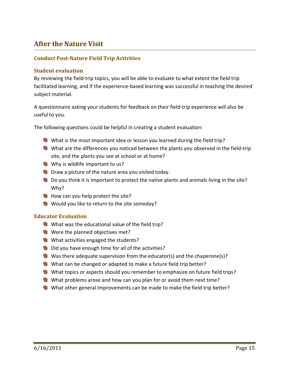## **After the Nature Visit**

## **Conduct Post‐Nature Field Trip Activities**

## **Student evaluation**

By reviewing the field-trip topics, you will be able to evaluate to what extent the field trip facilitated learning, and if the experience‐based learning was successful in teaching the desired subject material.

A questionnaire asking your students for feedback on their field‐trip experience will also be useful to you.

The following questions could be helpful in creating a student evaluation:

- What is the most important idea or lesson you learned during the field trip?
- **业** What are the differences you noticed between the plants you observed in the field-trip site, and the plants you see at school or at home?
- **Now Why is wildlife important to us?**
- **W** Draw a picture of the nature area you visited today.
- **N** Do you think it is important to protect the native plants and animals living in the site? Why?
- **N** How can you help protect the site?
- **W** Would you like to return to the site someday?

## **Educator Evaluation**

- What was the educational value of the field trip?
- **N**Were the planned objectives met?
- What activities engaged the students?
- **U** Did you have enough time for all of the activities?
- **W** Was there adequate supervision from the educator(s) and the chaperone(s)?
- What can be changed or adapted to make a future field trip better?
- **Net topics or aspects should you remember to emphasize on future field trips?**
- What problems arose and how can you plan for or avoid them next time?
- What other general improvements can be made to make the field trip better?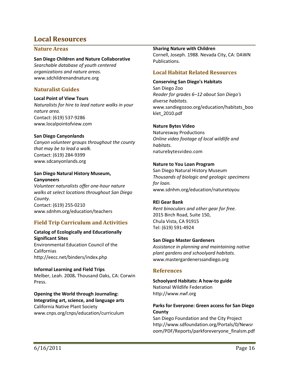## **Local Resources**

## **Nature Areas**

#### **San Diego Children and Nature Collaborative**

*Searchable database of youth centered organizations and nature areas.* www.sdchildrenandnature.org

## **Naturalist Guides**

#### **Local Point of View Tours**

*Naturalists for hire to lead nature walks in your nature area.* Contact: (619) 537‐9286 www.localpointofview.com

## **San Diego Canyonlands**

*Canyon volunteer groups throughout the county that may be to lead a walk.* Contact: (619) 284‐9399 www.sdcanyonlands.org

#### **San Diego Natural History Museum, Canyoneers**

*Volunteer naturalists offer one‐hour nature walks at select locations throughout San Diego County.*  Contact: (619) 255‐0210 www.sdnhm.org/education/teachers

## **Field Trip Curriculum and Activities**

**Catalog of Ecologically and Educationally Significant Sites** Environmental Education Council of the Californias http://eecc.net/binders/index.php

#### **Informal Learning and Field Trips** Melber, Leah. 2008**.** Thousand Oaks, CA: Corwin Press.

#### **Opening the World through Journaling: Integrating art, science, and language arts**

California Native Plant Society www.cnps.org/cnps/education/curriculum

#### **Sharing Nature with Children**

Cornell, Joseph. 1988. Nevada City, CA: DAWN Publications.

## **Local Habitat Related Resources**

#### **Conserving San Diego's Habitats**

San Diego Zoo *Reader for grades 6–12 about San Diego's diverse habitats.* www.sandiegozoo.org/education/habitats\_boo klet\_2010.pdf

## **Nature Bytes Video**

Naturesway Productions *Online video footage of local wildlife and habitats.* naturebytesvideo.com

## **Nature to You Loan Program**

San Diego Natural History Museum *Thousands of biologic and geologic specimens for loan.* www.sdnhm.org/education/naturetoyou

## **REI Gear Bank**

*Rent binoculars and other gear for free.* 2015 Birch Road, Suite 150, Chula Vista, CA 91915 Tel: (619) 591‐4924

## **San Diego Master Gardeners**

*Assistance in planning and maintaining native plant gardens and schoolyard habitats.* www.mastergardenerssandiego.org

## **References**

**Schoolyard Habitats: A how‐to guide** National Wildlife Federation http://www.nwf.org

## **Parks for Everyone: Green access for San Diego County**

San Diego Foundation and the City Project http://www.sdfoundation.org/Portals/0/Newsr oom/PDF/Reports/parkforeveryone\_finalsm.pdf